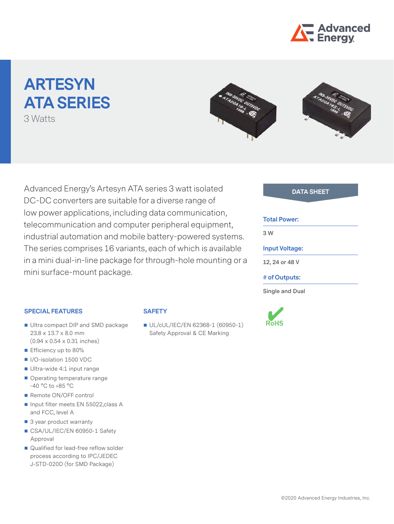

# **ARTESYN ATA Series**

3 Watts



Advanced Energy's Artesyn ATA series 3 watt isolated **DATA SHEET** DC-DC converters are suitable for a diverse range of low power applications, including data communication, telecommunication and computer peripheral equipment, industrial automation and mobile battery-powered systems. The series comprises 16 variants, each of which is available in a mini dual-in-line package for through-hole mounting or a mini surface-mount package.

#### **Total Power:**

**3 W**

#### **Input Voltage:**

**12, 24 or 48 V**

#### **# of Outputs:**

**Single and Dual**



#### **SPECIAL FEATURES**

### ■ Ultra compact DIP and SMD package 23.8 x 13.7 x 8.0 mm (0.94 x 0.54 x 0.31 inches)

- Efficiency up to 80%
- I/O-isolation 1500 VDC
- Ultra-wide 4:1 input range
- Operating temperature range -40 °C to +85 °C
- Remote ON/OFF control
- Input filter meets EN 55022, class A and FCC, level A
- 3 year product warranty
- CSA/UL/IEC/EN 60950-1 Safety Approval
- Qualified for lead-free reflow solder process according to IPC/JEDEC J-STD-020D (for SMD Package)

#### **SAFETY**

UL/cUL/IEC/EN 62368-1 (60950-1) Safety Approval & CE Marking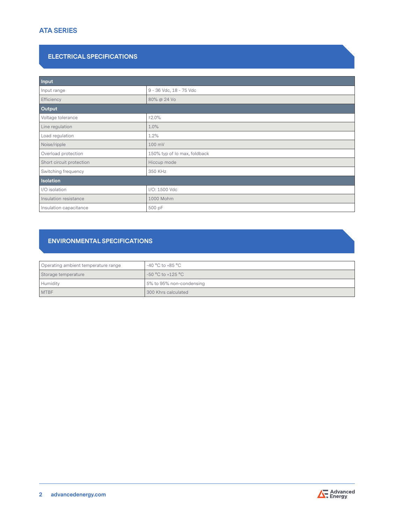# **ATA Series**

### **ELECTRICAL SPECIFICATIONS**

| Input                    |                              |  |  |  |
|--------------------------|------------------------------|--|--|--|
| Input range              | 9 - 36 Vdc, 18 - 75 Vdc      |  |  |  |
| Efficiency               | 80% @ 24 Vo                  |  |  |  |
| Output                   |                              |  |  |  |
| Voltage tolerance        | ±2.0%                        |  |  |  |
| Line regulation          | 1.0%                         |  |  |  |
| Load regulation          | 1.2%                         |  |  |  |
| Noise/ripple             | 100 mV                       |  |  |  |
| Overload protection      | 150% typ of Io max, foldback |  |  |  |
| Short circuit protection | Hiccup mode                  |  |  |  |
| Switching frequency      | 350 KHz                      |  |  |  |
| <b>Isolation</b>         |                              |  |  |  |
| I/O isolation            | I/O: 1500 Vdc                |  |  |  |
| Insulation resistance    | 1000 Mohm                    |  |  |  |
| Insulation capacitance   | 500 pF                       |  |  |  |

# **ENVIRONMENTAL SPECIFICATIONS**

| Operating ambient temperature range | -40 °C to +85 °C         |
|-------------------------------------|--------------------------|
| Storage temperature                 | $-50 °C$ to $+125 °C$    |
| Humidity                            | 5% to 95% non-condensing |
| <b>MTBF</b>                         | 300 Khrs calculated      |

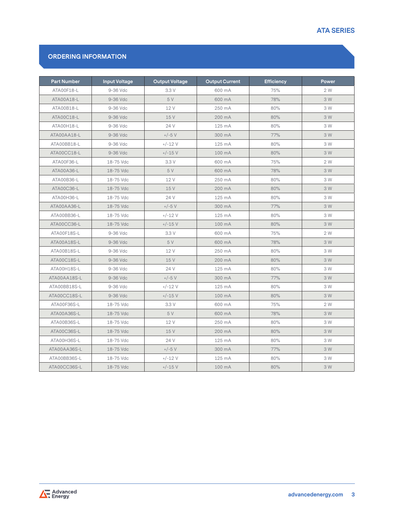# **ATA Series**

## **Ordering Information**

| <b>Part Number</b> | <b>Input Voltage</b> | <b>Output Voltage</b> | <b>Output Current</b> | <b>Efficiency</b> | Power |
|--------------------|----------------------|-----------------------|-----------------------|-------------------|-------|
| ATA00F18-L         | 9-36 Vdc             | 3.3 V                 | 600 mA                | 75%               | 2 W   |
| ATA00A18-L         | 9-36 Vdc             | 5 V                   | 600 mA                | 78%               | 3 W   |
| ATA00B18-L         | 9-36 Vdc             | 12 V                  | 250 mA                | 80%               | 3 W   |
| ATA00C18-L         | 9-36 Vdc             | 15 V                  | 200 mA                | 80%               | 3 W   |
| ATA00H18-L         | 9-36 Vdc             | 24 V                  | 125 mA                | 80%               | 3 W   |
| ATA00AA18-L        | 9-36 Vdc             | $+/-5$ V              | 300 mA                | 77%               | 3 W   |
| ATA00BB18-L        | 9-36 Vdc             | $+/-12V$              | 125 mA                | 80%               | 3 W   |
| ATA00CC18-L        | 9-36 Vdc             | $+/-15$ V             | 100 mA                | 80%               | 3 W   |
| ATA00F36-L         | 18-75 Vdc            | 3.3 V                 | 600 mA                | 75%               | 2 W   |
| ATA00A36-L         | 18-75 Vdc            | 5 V                   | 600 mA                | 78%               | 3 W   |
| ATA00B36-L         | 18-75 Vdc            | 12 V                  | 250 mA                | 80%               | 3 W   |
| ATA00C36-L         | 18-75 Vdc            | 15V                   | $200 \text{ mA}$      | 80%               | 3 W   |
| ATA00H36-L         | 18-75 Vdc            | 24 V                  | 125 mA                | 80%               | 3 W   |
| ATA00AA36-L        | 18-75 Vdc            | $+/-5$ V              | 300 mA                | 77%               | 3 W   |
| ATA00BB36-L        | 18-75 Vdc            | $+/-12$ V             | 125 mA                | 80%               | 3 W   |
| ATA00CC36-L        | 18-75 Vdc            | $+/-15$ V             | 100 mA                | 80%               | 3 W   |
| ATA00F18S-L        | 9-36 Vdc             | 3.3 V                 | 600 mA                | 75%               | 2 W   |
| ATA00A18S-L        | 9-36 Vdc             | 5 V                   | 600 mA                | 78%               | 3 W   |
| ATA00B18S-L        | 9-36 Vdc             | 12 V                  | 250 mA                | 80%               | 3 W   |
| ATA00C18S-L        | 9-36 Vdc             | 15 V                  | 200 mA                | 80%               | 3 W   |
| ATA00H18S-L        | 9-36 Vdc             | 24 V                  | 125 mA                | 80%               | 3 W   |
| ATA00AA18S-L       | 9-36 Vdc             | $+/-5$ V              | 300 mA                | 77%               | 3 W   |
| ATA00BB18S-L       | 9-36 Vdc             | $+/-12$ V             | 125 mA                | 80%               | 3 W   |
| ATA00CC18S-L       | 9-36 Vdc             | $+/-15$ V             | 100 mA                | 80%               | 3 W   |
| ATA00F36S-L        | 18-75 Vdc            | 3.3 V                 | 600 mA                | 75%               | 2 W   |
| ATA00A36S-L        | 18-75 Vdc            | 5 V                   | 600 mA                | 78%               | 3 W   |
| ATA00B36S-L        | 18-75 Vdc            | 12 V                  | 250 mA                | 80%               | 3 W   |
| ATA00C36S-L        | 18-75 Vdc            | 15 V                  | 200 mA                | 80%               | 3 W   |
| ATA00H36S-L        | 18-75 Vdc            | 24 V                  | 125 mA                | 80%               | 3 W   |
| ATA00AA36S-L       | 18-75 Vdc            | $+/-5$ V              | 300 mA                | 77%               | 3 W   |
| ATA00BB36S-L       | 18-75 Vdc            | $+/-12V$              | 125 mA                | 80%               | 3 W   |
| ATA00CC36S-L       | 18-75 Vdc            | $+/-15$ V             | 100 mA                | 80%               | 3 W   |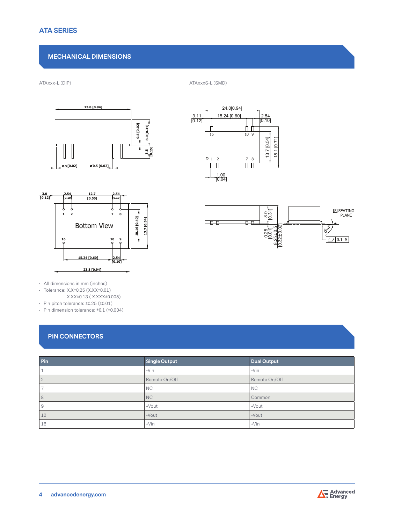# **Mechanical Dimensions**

ATAxxx-L (DIP) ATAxxxS-L (SMD)





• All dimensions in mm (inches)

• Tolerance: X.X±0.25 (X.XX±0.01)

 X.XX±0.13 ( X.XXX±0.005)

• Pin pitch tolerance: ±0.25 (±0.01)

• Pin dimension tolerance:  $±0.1$   $(±0.004)$ 

# **Pin Connectors**

| Pin        | Single Output | <b>Dual Output</b> |
|------------|---------------|--------------------|
|            | $-Vin$        | $-Vin$             |
| $\bigcirc$ | Remote On/Off | Remote On/Off      |
|            | <b>NC</b>     | <b>NC</b>          |
| 8          | <b>NC</b>     | Common             |
| 9          | +Vout         | +Vout              |
| 10         | -Vout         | -Vout              |
| 16         | $+V$ in       | $+V$ in            |